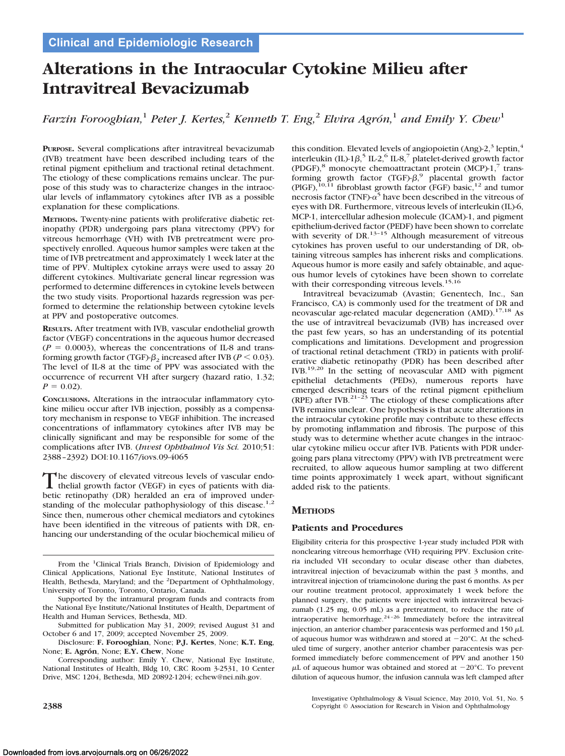# **Alterations in the Intraocular Cytokine Milieu after Intravitreal Bevacizumab**

*Farzin Forooghian*,<sup>1</sup> *Peter J. Kertes*,<sup>2</sup> *Kenneth T. Eng*,<sup>2</sup> *Elvira Agrón*,<sup>1</sup> *and Emily Y. Chew*<sup>1</sup>

**PURPOSE.** Several complications after intravitreal bevacizumab (IVB) treatment have been described including tears of the retinal pigment epithelium and tractional retinal detachment. The etiology of these complications remains unclear. The purpose of this study was to characterize changes in the intraocular levels of inflammatory cytokines after IVB as a possible explanation for these complications.

**METHODS.** Twenty-nine patients with proliferative diabetic retinopathy (PDR) undergoing pars plana vitrectomy (PPV) for vitreous hemorrhage (VH) with IVB pretreatment were prospectively enrolled. Aqueous humor samples were taken at the time of IVB pretreatment and approximately 1 week later at the time of PPV. Multiplex cytokine arrays were used to assay 20 different cytokines. Multivariate general linear regression was performed to determine differences in cytokine levels between the two study visits. Proportional hazards regression was performed to determine the relationship between cytokine levels at PPV and postoperative outcomes.

**RESULTS.** After treatment with IVB, vascular endothelial growth factor (VEGF) concentrations in the aqueous humor decreased  $(P = 0.0003)$ , whereas the concentrations of IL-8 and transforming growth factor (TGF)- $\beta_2$  increased after IVB ( $P < 0.03$ ). The level of IL-8 at the time of PPV was associated with the occurrence of recurrent VH after surgery (hazard ratio, 1.32;  $P = 0.02$ .

**CONCLUSIONS.** Alterations in the intraocular inflammatory cytokine milieu occur after IVB injection, possibly as a compensatory mechanism in response to VEGF inhibition. The increased concentrations of inflammatory cytokines after IVB may be clinically significant and may be responsible for some of the complications after IVB. (*Invest Ophthalmol Vis Sci.* 2010;51: 2388 –2392) DOI:10.1167/iovs.09-4065

The discovery of elevated vitreous levels of vascular endo-<br>the lial growth factor (VEGF) in eyes of patients with dia-<br>hatia gradual (OD) handled a grown of imaginal under betic retinopathy (DR) heralded an era of improved understanding of the molecular pathophysiology of this disease.<sup>1,2</sup> Since then, numerous other chemical mediators and cytokines have been identified in the vitreous of patients with DR, enhancing our understanding of the ocular biochemical milieu of

From the <sup>1</sup>Clinical Trials Branch, Division of Epidemiology and Clinical Applications, National Eye Institute, National Institutes of Health, Bethesda, Maryland; and the <sup>2</sup>Department of Ophthalmology, University of Toronto, Toronto, Ontario, Canada.

Supported by the intramural program funds and contracts from the National Eye Institute/National Institutes of Health, Department of Health and Human Services, Bethesda, MD.

Submitted for publication May 31, 2009; revised August 31 and October 6 and 17, 2009; accepted November 25, 2009.

Disclosure: **F. Forooghian**, None; **P.J. Kertes**, None; **K.T. Eng**, None; **E. Agrón**, None; **E.Y. Chew**, None

Corresponding author: Emily Y. Chew, National Eye Institute, National Institutes of Health, Bldg 10, CRC Room 3-2531, 10 Center Drive, MSC 1204, Bethesda, MD 20892-1204; echew@nei.nih.gov.

this condition. Elevated levels of angiopoietin (Ang)-2, $3$  leptin,  $4$ interleukin (IL)-1 $\beta$ ,<sup>5</sup> IL-2,<sup>6</sup> IL-8,<sup>7</sup> platelet-derived growth factor (PDGF), $^8$  monocyte chemoattractant protein (MCP)-1, $^7$  transforming growth factor  $(TGF)-\beta$ ,<sup>9</sup> placental growth factor (PlGF),<sup>10,11</sup> fibroblast growth factor (FGF) basic,<sup>12</sup> and tumor necrosis factor (TNF)- $\alpha^5$  have been described in the vitreous of eyes with DR. Furthermore, vitreous levels of interleukin (IL)-6, MCP-1, intercellular adhesion molecule (ICAM)-1, and pigment epithelium-derived factor (PEDF) have been shown to correlate with severity of  $DR<sup>13-15</sup>$  Although measurement of vitreous cytokines has proven useful to our understanding of DR, obtaining vitreous samples has inherent risks and complications. Aqueous humor is more easily and safely obtainable, and aqueous humor levels of cytokines have been shown to correlate with their corresponding vitreous levels.<sup>15,16</sup>

Intravitreal bevacizumab (Avastin; Genentech, Inc., San Francisco, CA) is commonly used for the treatment of DR and neovascular age-related macular degeneration (AMD).<sup>17,18</sup> As the use of intravitreal bevacizumab (IVB) has increased over the past few years, so has an understanding of its potential complications and limitations. Development and progression of tractional retinal detachment (TRD) in patients with proliferative diabetic retinopathy (PDR) has been described after IVB.19,20 In the setting of neovascular AMD with pigment epithelial detachments (PEDs), numerous reports have emerged describing tears of the retinal pigment epithelium (RPE) after IVB.<sup>21-23</sup> The etiology of these complications after IVB remains unclear. One hypothesis is that acute alterations in the intraocular cytokine profile may contribute to these effects by promoting inflammation and fibrosis. The purpose of this study was to determine whether acute changes in the intraocular cytokine milieu occur after IVB. Patients with PDR undergoing pars plana vitrectomy (PPV) with IVB pretreatment were recruited, to allow aqueous humor sampling at two different time points approximately 1 week apart, without significant added risk to the patients.

## **METHODS**

#### **Patients and Procedures**

Eligibility criteria for this prospective 1-year study included PDR with nonclearing vitreous hemorrhage (VH) requiring PPV. Exclusion criteria included VH secondary to ocular disease other than diabetes, intravitreal injection of bevacizumab within the past 3 months, and intravitreal injection of triamcinolone during the past 6 months. As per our routine treatment protocol, approximately 1 week before the planned surgery, the patients were injected with intravitreal bevacizumab (1.25 mg, 0.05 mL) as a pretreatment, to reduce the rate of intraoperative hemorrhage.<sup>24-26</sup> Immediately before the intravitreal injection, an anterior chamber paracentesis was performed and 150  $\mu$ L of aqueous humor was withdrawn and stored at  $-20^{\circ}$ C. At the scheduled time of surgery, another anterior chamber paracentesis was performed immediately before commencement of PPV and another 150  $\mu$ L of aqueous humor was obtained and stored at  $-20^{\circ}$ C. To prevent dilution of aqueous humor, the infusion cannula was left clamped after

Investigative Ophthalmology & Visual Science, May 2010, Vol. 51, No. 5 **2388** 2388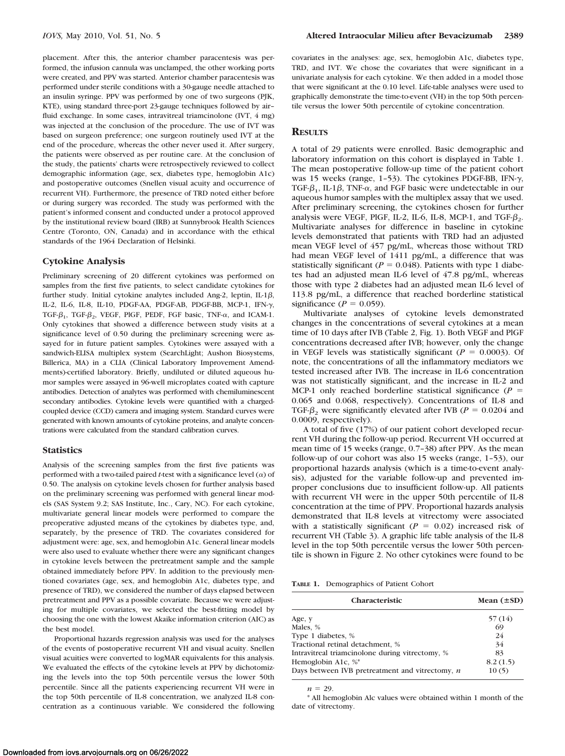placement. After this, the anterior chamber paracentesis was performed, the infusion cannula was unclamped, the other working ports were created, and PPV was started. Anterior chamber paracentesis was performed under sterile conditions with a 30-gauge needle attached to an insulin syringe. PPV was performed by one of two surgeons (PJK, KTE), using standard three-port 23-gauge techniques followed by air– fluid exchange. In some cases, intravitreal triamcinolone (IVT, 4 mg) was injected at the conclusion of the procedure. The use of IVT was based on surgeon preference; one surgeon routinely used IVT at the end of the procedure, whereas the other never used it. After surgery, the patients were observed as per routine care. At the conclusion of the study, the patients' charts were retrospectively reviewed to collect demographic information (age, sex, diabetes type, hemoglobin A1c) and postoperative outcomes (Snellen visual acuity and occurrence of recurrent VH). Furthermore, the presence of TRD noted either before or during surgery was recorded. The study was performed with the patient's informed consent and conducted under a protocol approved by the institutional review board (IRB) at Sunnybrook Health Sciences Centre (Toronto, ON, Canada) and in accordance with the ethical standards of the 1964 Declaration of Helsinki.

#### **Cytokine Analysis**

Preliminary screening of 20 different cytokines was performed on samples from the first five patients, to select candidate cytokines for further study. Initial cytokine analytes included Ang-2, leptin, IL-1 $\beta$ , IL-2, IL-6, IL-8, IL-10, PDGF-AA, PDGF-AB, PDGF-BB, MCP-1, IFN-, TGF- $\beta_1$ , TGF- $\beta_2$ , VEGF, PlGF, PEDF, FGF basic, TNF- $\alpha$ , and ICAM-1. Only cytokines that showed a difference between study visits at a significance level of 0.50 during the preliminary screening were assayed for in future patient samples. Cytokines were assayed with a sandwich-ELISA multiplex system (SearchLight; Aushon Biosystems, Billerica, MA) in a CLIA (Clinical Laboratory Improvement Amendments)-certified laboratory. Briefly, undiluted or diluted aqueous humor samples were assayed in 96-well microplates coated with capture antibodies. Detection of analytes was performed with chemiluminescent secondary antibodies. Cytokine levels were quantified with a chargedcoupled device (CCD) camera and imaging system. Standard curves were generated with known amounts of cytokine proteins, and analyte concentrations were calculated from the standard calibration curves.

#### **Statistics**

Analysis of the screening samples from the first five patients was performed with a two-tailed paired *t*-test with a significance level  $(\alpha)$  of 0.50. The analysis on cytokine levels chosen for further analysis based on the preliminary screening was performed with general linear models (SAS System 9.2; SAS Institute, Inc., Cary, NC). For each cytokine, multivariate general linear models were performed to compare the preoperative adjusted means of the cytokines by diabetes type, and, separately, by the presence of TRD. The covariates considered for adjustment were: age, sex, and hemoglobin A1c. General linear models were also used to evaluate whether there were any significant changes in cytokine levels between the pretreatment sample and the sample obtained immediately before PPV. In addition to the previously mentioned covariates (age, sex, and hemoglobin A1c, diabetes type, and presence of TRD), we considered the number of days elapsed between pretreatment and PPV as a possible covariate. Because we were adjusting for multiple covariates, we selected the best-fitting model by choosing the one with the lowest Akaike information criterion (AIC) as the best model.

Proportional hazards regression analysis was used for the analyses of the events of postoperative recurrent VH and visual acuity. Snellen visual acuities were converted to logMAR equivalents for this analysis. We evaluated the effects of the cytokine levels at PPV by dichotomizing the levels into the top 50th percentile versus the lower 50th percentile. Since all the patients experiencing recurrent VH were in the top 50th percentile of IL-8 concentration, we analyzed IL-8 concentration as a continuous variable. We considered the following

covariates in the analyses: age, sex, hemoglobin A1c, diabetes type, TRD, and IVT. We chose the covariates that were significant in a univariate analysis for each cytokine. We then added in a model those that were significant at the 0.10 level. Life-table analyses were used to graphically demonstrate the time-to-event (VH) in the top 50th percentile versus the lower 50th percentile of cytokine concentration.

### **RESULTS**

A total of 29 patients were enrolled. Basic demographic and laboratory information on this cohort is displayed in Table 1. The mean postoperative follow-up time of the patient cohort was 15 weeks (range,  $1-53$ ). The cytokines PDGF-BB, IFN- $\gamma$ , TGF- $\beta_1$ , IL-1 $\beta$ , TNF- $\alpha$ , and FGF basic were undetectable in our aqueous humor samples with the multiplex assay that we used. After preliminary screening, the cytokines chosen for further analysis were VEGF, PlGF, IL-2, IL-6, IL-8, MCP-1, and TGF- $\beta_2$ . Multivariate analyses for difference in baseline in cytokine levels demonstrated that patients with TRD had an adjusted mean VEGF level of 457 pg/mL, whereas those without TRD had mean VEGF level of 1411 pg/mL, a difference that was statistically significant ( $P = 0.048$ ). Patients with type 1 diabetes had an adjusted mean IL-6 level of 47.8 pg/mL, whereas those with type 2 diabetes had an adjusted mean IL-6 level of 113.8 pg/mL, a difference that reached borderline statistical significance ( $P = 0.059$ ).

Multivariate analyses of cytokine levels demonstrated changes in the concentrations of several cytokines at a mean time of 10 days after IVB (Table 2, Fig. 1). Both VEGF and PlGF concentrations decreased after IVB; however, only the change in VEGF levels was statistically significant ( $P = 0.0003$ ). Of note, the concentrations of all the inflammatory mediators we tested increased after IVB. The increase in IL-6 concentration was not statistically significant, and the increase in IL-2 and MCP-1 only reached borderline statistical significance  $(P =$ 0.065 and 0.068, respectively). Concentrations of IL-8 and TGF- $\beta$ , were significantly elevated after IVB ( $P = 0.0204$  and 0.0009, respectively).

A total of five (17%) of our patient cohort developed recurrent VH during the follow-up period. Recurrent VH occurred at mean time of 15 weeks (range, 0.7–38) after PPV. As the mean follow-up of our cohort was also 15 weeks (range, 1–53), our proportional hazards analysis (which is a time-to-event analysis), adjusted for the variable follow-up and prevented improper conclusions due to insufficient follow-up. All patients with recurrent VH were in the upper 50th percentile of IL-8 concentration at the time of PPV. Proportional hazards analysis demonstrated that IL-8 levels at vitrectomy were associated with a statistically significant ( $P = 0.02$ ) increased risk of recurrent VH (Table 3). A graphic life table analysis of the IL-8 level in the top 50th percentile versus the lower 50th percentile is shown in Figure 2. No other cytokines were found to be

**TABLE 1.** Demographics of Patient Cohort

| <b>Characteristic</b>                             | Mean $(\pm SD)$ |
|---------------------------------------------------|-----------------|
| Age, y                                            | 57(14)          |
| Males, %                                          | 69              |
| Type 1 diabetes, %                                | 24              |
| Tractional retinal detachment, %                  | 34              |
| Intravitreal triamcinolone during vitrectomy, %   | 83              |
| Hemoglobin A1c, %*                                | 8.2(1.5)        |
| Days between IVB pretreatment and vitrectomy, $n$ | 10(5)           |

 $n = 29$ .

\* All hemoglobin Alc values were obtained within 1 month of the date of vitrectomy.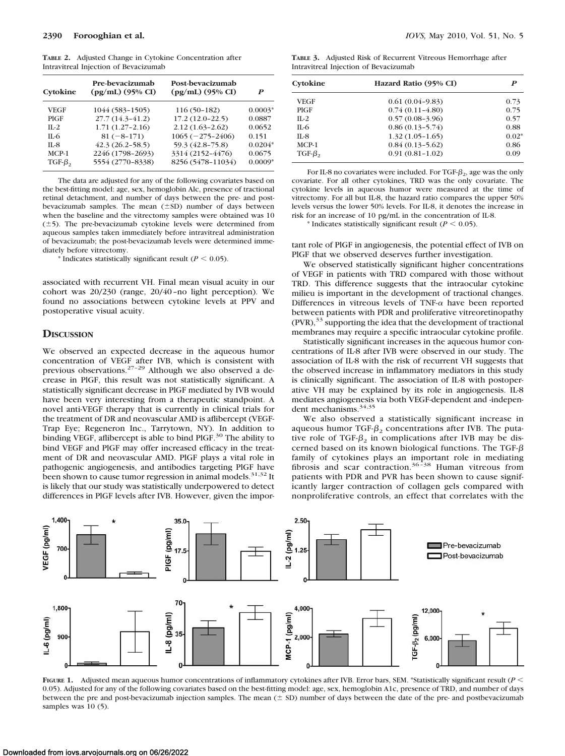**TABLE 2.** Adjusted Change in Cytokine Concentration after Intravitreal Injection of Bevacizumab

| Cytokine    | Pre-bevacizumab<br>$(pg/mL)$ (95% CI) | Post-bevacizumab<br>$(pg/mL)$ (95% CI) | P         |
|-------------|---------------------------------------|----------------------------------------|-----------|
| <b>VEGF</b> | 1044 (583-1505)                       | $116(50-182)$                          | $0.0003*$ |
| PIGF        | $27.7(14.3 - 41.2)$                   | $17.2(12.0-22.5)$                      | 0.0887    |
| $II - 2$    | $1.71(1.27-2.16)$                     | $2.12(1.63 - 2.62)$                    | 0.0652    |
| $II-6$      | $81(-8-171)$                          | $1065 (-275 - 2406)$                   | 0.151     |
| $IL-8$      | $42.3(26.2 - 58.5)$                   | 59.3 (42.8-75.8)                       | $0.0204*$ |
| $MCP-1$     | 2246 (1798-2693)                      | 3314 (2152-4476)                       | 0.0675    |
| $TGF-\beta$ | 5554 (2770-8338)                      | 8256 (5478-11034)                      | $0.0009*$ |

The data are adjusted for any of the following covariates based on the best-fitting model: age, sex, hemoglobin Alc, presence of tractional retinal detachment, and number of days between the pre- and postbevacizumab samples. The mean  $(\pm SD)$  number of days between when the baseline and the vitrectomy samples were obtained was 10  $(\pm 5)$ . The pre-bevacizumab cytokine levels were determined from aqueous samples taken immediately before intravitreal administration of bevacizumab; the post-bevacizumab levels were determined immediately before vitrectomy.

 $*$  Indicates statistically significant result ( $P < 0.05$ ).

associated with recurrent VH. Final mean visual acuity in our cohort was 20/230 (range, 20/40 –no light perception). We found no associations between cytokine levels at PPV and postoperative visual acuity.

#### **DISCUSSION**

We observed an expected decrease in the aqueous humor concentration of VEGF after IVB, which is consistent with previous observations. $27-29$  Although we also observed a decrease in PlGF, this result was not statistically significant. A statistically significant decrease in PlGF mediated by IVB would have been very interesting from a therapeutic standpoint. A novel anti-VEGF therapy that is currently in clinical trials for the treatment of DR and neovascular AMD is aflibercept (VEGF-Trap Eye; Regeneron Inc., Tarrytown, NY). In addition to binding VEGF, aflibercept is able to bind PlGF.<sup>30</sup> The ability to bind VEGF and PlGF may offer increased efficacy in the treatment of DR and neovascular AMD. PlGF plays a vital role in pathogenic angiogenesis, and antibodies targeting PlGF have been shown to cause tumor regression in animal models.<sup>31,32</sup> It is likely that our study was statistically underpowered to detect differences in PlGF levels after IVB. However, given the impor-

**TABLE 3.** Adjusted Risk of Recurrent Vitreous Hemorrhage after Intravitreal Injection of Bevacizumab

| Cytokine     | Hazard Ratio (95% CI) | P       |  |
|--------------|-----------------------|---------|--|
| VEGF         | $0.61(0.04-9.83)$     | 0.73    |  |
| <b>PIGF</b>  | $0.74(0.11 - 4.80)$   | 0.75    |  |
| $IL-2$       | $0.57(0.08-3.96)$     | 0.57    |  |
| $IL-6$       | $0.86(0.13 - 5.74)$   | 0.88    |  |
| $IL-8$       | $1.32(1.05-1.65)$     | $0.02*$ |  |
| $MCP-1$      | $0.84(0.13 - 5.62)$   | 0.86    |  |
| $TGF-\beta,$ | $0.91(0.81-1.02)$     | 0.09    |  |

For IL-8 no covariates were included. For TGF- $\beta_2$ , age was the only covariate. For all other cytokines, TRD was the only covariate. The cytokine levels in aqueous humor were measured at the time of vitrectomy. For all but IL-8, the hazard ratio compares the upper 50% levels versus the lower 50% levels. For IL-8, it denotes the increase in risk for an increase of 10 pg/mL in the concentration of IL-8.

 $*$  Indicates statistically significant result ( $P < 0.05$ ).

tant role of PlGF in angiogenesis, the potential effect of IVB on PlGF that we observed deserves further investigation.

We observed statistically significant higher concentrations of VEGF in patients with TRD compared with those without TRD. This difference suggests that the intraocular cytokine milieu is important in the development of tractional changes. Differences in vitreous levels of TNF- $\alpha$  have been reported between patients with PDR and proliferative vitreoretinopathy  $(PVR)$ ,<sup>33</sup> supporting the idea that the development of tractional membranes may require a specific intraocular cytokine profile.

Statistically significant increases in the aqueous humor concentrations of IL-8 after IVB were observed in our study. The association of IL-8 with the risk of recurrent VH suggests that the observed increase in inflammatory mediators in this study is clinically significant. The association of IL-8 with postoperative VH may be explained by its role in angiogenesis. IL-8 mediates angiogenesis via both VEGF-dependent and -independent mechanisms.<sup>34,35</sup>

We also observed a statistically significant increase in aqueous humor TGF- $\beta_2$  concentrations after IVB. The putative role of TGF- $\beta_2$  in complications after IVB may be discerned based on its known biological functions. The TGF- $\beta$ family of cytokines plays an important role in mediating<br>fibrosis and scar contraction.<sup>36-38</sup> Human vitreous from patients with PDR and PVR has been shown to cause significantly larger contraction of collagen gels compared with nonproliferative controls, an effect that correlates with the



**FIGURE 1.** Adjusted mean aqueous humor concentrations of inflammatory cytokines after IVB. Error bars, SEM. \*Statistically significant result (*P* - 0.05). Adjusted for any of the following covariates based on the best-fitting model: age, sex, hemoglobin A1c, presence of TRD, and number of days between the pre and post-bevacizumab injection samples. The mean  $(\pm$  SD) number of days between the date of the pre- and postbevacizumab samples was 10 (5).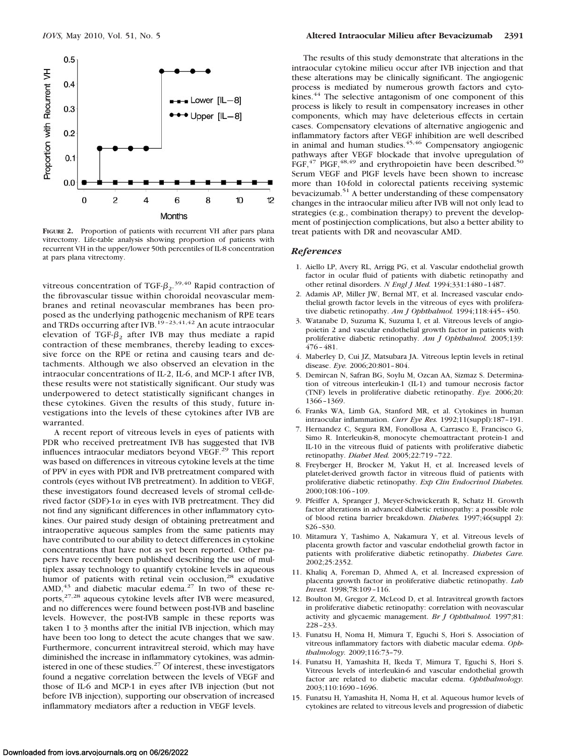

**FIGURE 2.** Proportion of patients with recurrent VH after pars plana vitrectomy. Life-table analysis showing proportion of patients with recurrent VH in the upper/lower 50th percentiles of IL-8 concentration at pars plana vitrectomy.

vitreous concentration of TGF- $\beta_2$ .<sup>39,40</sup> Rapid contraction of the fibrovascular tissue within choroidal neovascular membranes and retinal neovascular membranes has been proposed as the underlying pathogenic mechanism of RPE tears and TRDs occurring after IVB.<sup>19-23,41,42</sup> An acute intraocular elevation of TGF- $\beta$ , after IVB may thus mediate a rapid contraction of these membranes, thereby leading to excessive force on the RPE or retina and causing tears and detachments. Although we also observed an elevation in the intraocular concentrations of IL-2, IL-6, and MCP-1 after IVB, these results were not statistically significant. Our study was underpowered to detect statistically significant changes in these cytokines. Given the results of this study, future investigations into the levels of these cytokines after IVB are warranted.

A recent report of vitreous levels in eyes of patients with PDR who received pretreatment IVB has suggested that IVB influences intraocular mediators beyond VEGF.29 This report was based on differences in vitreous cytokine levels at the time of PPV in eyes with PDR and IVB pretreatment compared with controls (eyes without IVB pretreatment). In addition to VEGF, these investigators found decreased levels of stromal cell-derived factor (SDF)-1 $\alpha$  in eyes with IVB pretreatment. They did not find any significant differences in other inflammatory cytokines. Our paired study design of obtaining pretreatment and intraoperative aqueous samples from the same patients may have contributed to our ability to detect differences in cytokine concentrations that have not as yet been reported. Other papers have recently been published describing the use of multiplex assay technology to quantify cytokine levels in aqueous humor of patients with retinal vein occlusion,<sup>28</sup> exudative  $AMD<sub>1</sub><sup>43</sup>$  and diabetic macular edema.<sup>27</sup> In two of these reports,27,28 aqueous cytokine levels after IVB were measured, and no differences were found between post-IVB and baseline levels. However, the post-IVB sample in these reports was taken 1 to 3 months after the initial IVB injection, which may have been too long to detect the acute changes that we saw. Furthermore, concurrent intravitreal steroid, which may have diminished the increase in inflammatory cytokines, was administered in one of these studies. $27$  Of interest, these investigators found a negative correlation between the levels of VEGF and those of IL-6 and MCP-1 in eyes after IVB injection (but not before IVB injection), supporting our observation of increased inflammatory mediators after a reduction in VEGF levels.

The results of this study demonstrate that alterations in the intraocular cytokine milieu occur after IVB injection and that these alterations may be clinically significant. The angiogenic process is mediated by numerous growth factors and cytokines.<sup>44</sup> The selective antagonism of one component of this process is likely to result in compensatory increases in other components, which may have deleterious effects in certain cases. Compensatory elevations of alternative angiogenic and inflammatory factors after VEGF inhibition are well described in animal and human studies.<sup>45,46</sup> Compensatory angiogenic pathways after VEGF blockade that involve upregulation of FGF, $^{47}$  PlGF, $^{48,49}$  and erythropoietin have been described.<sup>50</sup> Serum VEGF and PlGF levels have been shown to increase more than 10-fold in colorectal patients receiving systemic bevacizumab.51 A better understanding of these compensatory changes in the intraocular milieu after IVB will not only lead to strategies (e.g., combination therapy) to prevent the development of postinjection complications, but also a better ability to treat patients with DR and neovascular AMD.

#### *References*

- 1. Aiello LP, Avery RL, Arrigg PG, et al. Vascular endothelial growth factor in ocular fluid of patients with diabetic retinopathy and other retinal disorders. *N Engl J Med.* 1994;331:1480 –1487.
- 2. Adamis AP, Miller JW, Bernal MT, et al. Increased vascular endothelial growth factor levels in the vitreous of eyes with proliferative diabetic retinopathy. *Am J Ophthalmol.* 1994;118:445– 450.
- 3. Watanabe D, Suzuma K, Suzuma I, et al. Vitreous levels of angiopoietin 2 and vascular endothelial growth factor in patients with proliferative diabetic retinopathy. *Am J Ophthalmol.* 2005;139: 476 – 481.
- 4. Maberley D, Cui JZ, Matsubara JA. Vitreous leptin levels in retinal disease. *Eye.* 2006;20:801– 804.
- 5. Demircan N, Safran BG, Soylu M, Ozcan AA, Sizmaz S. Determination of vitreous interleukin-1 (IL-1) and tumour necrosis factor (TNF) levels in proliferative diabetic retinopathy. *Eye.* 2006;20: 1366 –1369.
- 6. Franks WA, Limb GA, Stanford MR, et al. Cytokines in human intraocular inflammation. *Curr Eye Res.* 1992;11(suppl):187–191.
- 7. Hernandez C, Segura RM, Fonollosa A, Carrasco E, Francisco G, Simo R. Interleukin-8, monocyte chemoattractant protein-1 and IL-10 in the vitreous fluid of patients with proliferative diabetic retinopathy. *Diabet Med.* 2005;22:719 –722.
- 8. Freyberger H, Brocker M, Yakut H, et al. Increased levels of platelet-derived growth factor in vitreous fluid of patients with proliferative diabetic retinopathy. *Exp Clin Endocrinol Diabetes.* 2000;108:106 –109.
- 9. Pfeiffer A, Spranger J, Meyer-Schwickerath R, Schatz H. Growth factor alterations in advanced diabetic retinopathy: a possible role of blood retina barrier breakdown. *Diabetes.* 1997;46(suppl 2): S26 –S30.
- 10. Mitamura Y, Tashimo A, Nakamura Y, et al. Vitreous levels of placenta growth factor and vascular endothelial growth factor in patients with proliferative diabetic retinopathy. *Diabetes Care.* 2002;25:2352.
- 11. Khaliq A, Foreman D, Ahmed A, et al. Increased expression of placenta growth factor in proliferative diabetic retinopathy. *Lab Invest.* 1998;78:109 –116.
- 12. Boulton M, Gregor Z, McLeod D, et al. Intravitreal growth factors in proliferative diabetic retinopathy: correlation with neovascular activity and glycaemic management. *Br J Ophthalmol.* 1997;81: 228 –233.
- 13. Funatsu H, Noma H, Mimura T, Eguchi S, Hori S. Association of vitreous inflammatory factors with diabetic macular edema. *Ophthalmology.* 2009;116:73–79.
- 14. Funatsu H, Yamashita H, Ikeda T, Mimura T, Eguchi S, Hori S. Vitreous levels of interleukin-6 and vascular endothelial growth factor are related to diabetic macular edema. *Ophthalmology.* 2003;110:1690 –1696.
- 15. Funatsu H, Yamashita H, Noma H, et al. Aqueous humor levels of cytokines are related to vitreous levels and progression of diabetic